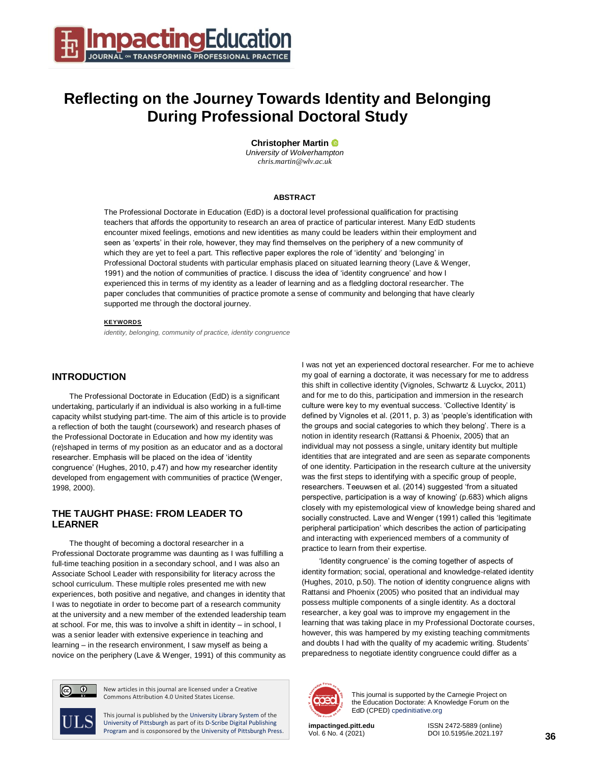

# **Reflecting on the Journey Towards Identity and Belonging During Professional Doctoral Study**

**Christopher Martin** *University of Wolverhampton*

*chris.martin@wlv.ac.uk*

#### **ABSTRACT**

The Professional Doctorate in Education (EdD) is a doctoral level professional qualification for practising teachers that affords the opportunity to research an area of practice of particular interest. Many EdD students encounter mixed feelings, emotions and new identities as many could be leaders within their employment and seen as 'experts' in their role, however, they may find themselves on the periphery of a new community of which they are yet to feel a part. This reflective paper explores the role of 'identity' and 'belonging' in Professional Doctoral students with particular emphasis placed on situated learning theory (Lave & Wenger, 1991) and the notion of communities of practice. I discuss the idea of 'identity congruence' and how I experienced this in terms of my identity as a leader of learning and as a fledgling doctoral researcher. The paper concludes that communities of practice promote a sense of community and belonging that have clearly supported me through the doctoral journey.

#### **KEYWORDS**

*identity, belonging, community of practice, identity congruence*

### **INTRODUCTION**

The Professional Doctorate in Education (EdD) is a significant undertaking, particularly if an individual is also working in a full-time capacity whilst studying part-time. The aim of this article is to provide a reflection of both the taught (coursework) and research phases of the Professional Doctorate in Education and how my identity was (re)shaped in terms of my position as an educator and as a doctoral researcher. Emphasis will be placed on the idea of 'identity congruence' (Hughes, 2010, p.47) and how my researcher identity developed from engagement with communities of practice (Wenger, 1998, 2000).

## **THE TAUGHT PHASE: FROM LEADER TO LEARNER**

The thought of becoming a doctoral researcher in a Professional Doctorate programme was daunting as I was fulfilling a full-time teaching position in a secondary school, and I was also an Associate School Leader with responsibility for literacy across the school curriculum. These multiple roles presented me with new experiences, both positive and negative, and changes in identity that I was to negotiate in order to become part of a research community at the university and a new member of the extended leadership team at school. For me, this was to involve a shift in identity – in school, I was a senior leader with extensive experience in teaching and learning – in the research environment, I saw myself as being a novice on the periphery (Lave & Wenger, 1991) of this community as I was not yet an experienced doctoral researcher. For me to achieve my goal of earning a doctorate, it was necessary for me to address this shift in collective identity (Vignoles, Schwartz & Luyckx, 2011) and for me to do this, participation and immersion in the research culture were key to my eventual success. 'Collective Identity' is defined by Vignoles et al. (2011, p. 3) as 'people's identification with the groups and social categories to which they belong'. There is a notion in identity research (Rattansi & Phoenix, 2005) that an individual may not possess a single, unitary identity but multiple identities that are integrated and are seen as separate components of one identity. Participation in the research culture at the university was the first steps to identifying with a specific group of people, researchers. Teeuwsen et al. (2014) suggested 'from a situated perspective, participation is a way of knowing' (p.683) which aligns closely with my epistemological view of knowledge being shared and socially constructed. Lave and Wenger (1991) called this 'legitimate peripheral participation' which describes the action of participating and interacting with experienced members of a community of practice to learn from their expertise.

'Identity congruence' is the coming together of aspects of identity formation; social, operational and knowledge-related identity (Hughes, 2010, p.50). The notion of identity congruence aligns with Rattansi and Phoenix (2005) who posited that an individual may possess multiple components of a single identity. As a doctoral researcher, a key goal was to improve my engagement in the learning that was taking place in my Professional Doctorate courses, however, this was hampered by my existing teaching commitments and doubts I had with the quality of my academic writing. Students' preparedness to negotiate identity congruence could differ as a



New articles in this journal are licensed under a Creative Commons Attribution 4.0 United States License.

This journal is published by th[e University Library System](http://www.library.pitt.edu/) of the [University of Pittsburgh](http://www.pitt.edu/) as part of it[s D-Scribe Digital Publishing](http://www.library.pitt.edu/articles/digpubtype/index.html)  [Program](http://www.library.pitt.edu/articles/digpubtype/index.html) and is cosponsored by th[e University of Pittsburgh Press.](http://upress.pitt.edu/)



This journal is supported by the Carnegie Project on the Education Doctorate: A Knowledge Forum on the EdD (CPED[\) cpedinitiative.org](http://cpedinitiative.org/)

Vol. 6 No. 4 (2021) DOI 10.5195/ie.2021.197

**impactinged.pitt.edu** ISSN 2472-5889 (online)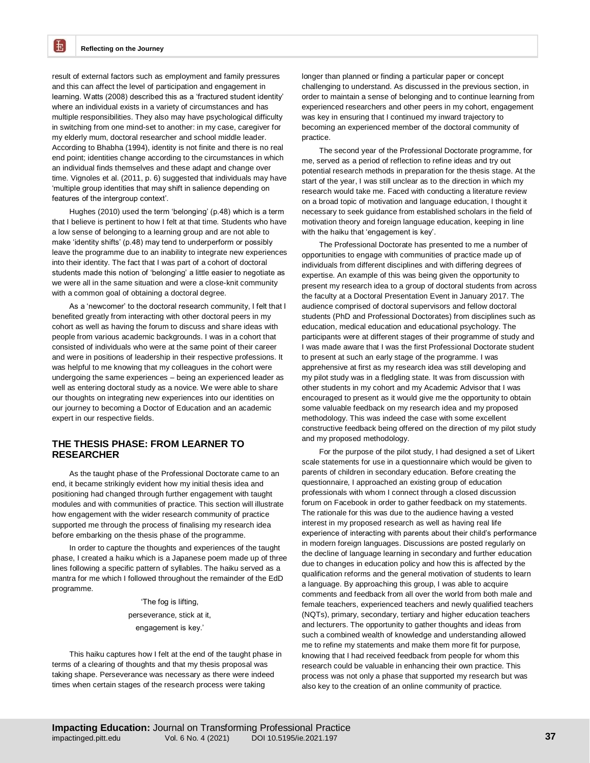£

result of external factors such as employment and family pressures and this can affect the level of participation and engagement in learning. Watts (2008) described this as a 'fractured student identity' where an individual exists in a variety of circumstances and has multiple responsibilities. They also may have psychological difficulty in switching from one mind-set to another: in my case, caregiver for my elderly mum, doctoral researcher and school middle leader. According to Bhabha (1994), identity is not finite and there is no real end point; identities change according to the circumstances in which an individual finds themselves and these adapt and change over time. Vignoles et al. (2011, p. 6) suggested that individuals may have 'multiple group identities that may shift in salience depending on features of the intergroup context'.

Hughes (2010) used the term 'belonging' (p.48) which is a term that I believe is pertinent to how I felt at that time. Students who have a low sense of belonging to a learning group and are not able to make 'identity shifts' (p.48) may tend to underperform or possibly leave the programme due to an inability to integrate new experiences into their identity. The fact that I was part of a cohort of doctoral students made this notion of 'belonging' a little easier to negotiate as we were all in the same situation and were a close-knit community with a common goal of obtaining a doctoral degree.

As a 'newcomer' to the doctoral research community, I felt that I benefited greatly from interacting with other doctoral peers in my cohort as well as having the forum to discuss and share ideas with people from various academic backgrounds. I was in a cohort that consisted of individuals who were at the same point of their career and were in positions of leadership in their respective professions. It was helpful to me knowing that my colleagues in the cohort were undergoing the same experiences – being an experienced leader as well as entering doctoral study as a novice. We were able to share our thoughts on integrating new experiences into our identities on our journey to becoming a Doctor of Education and an academic expert in our respective fields.

## **THE THESIS PHASE: FROM LEARNER TO RESEARCHER**

As the taught phase of the Professional Doctorate came to an end, it became strikingly evident how my initial thesis idea and positioning had changed through further engagement with taught modules and with communities of practice. This section will illustrate how engagement with the wider research community of practice supported me through the process of finalising my research idea before embarking on the thesis phase of the programme.

In order to capture the thoughts and experiences of the taught phase, I created a haiku which is a Japanese poem made up of three lines following a specific pattern of syllables. The haiku served as a mantra for me which I followed throughout the remainder of the EdD programme.

> 'The fog is lifting, perseverance, stick at it, engagement is key.'

This haiku captures how I felt at the end of the taught phase in terms of a clearing of thoughts and that my thesis proposal was taking shape. Perseverance was necessary as there were indeed times when certain stages of the research process were taking

longer than planned or finding a particular paper or concept challenging to understand. As discussed in the previous section, in order to maintain a sense of belonging and to continue learning from experienced researchers and other peers in my cohort, engagement was key in ensuring that I continued my inward trajectory to becoming an experienced member of the doctoral community of practice.

The second year of the Professional Doctorate programme, for me, served as a period of reflection to refine ideas and try out potential research methods in preparation for the thesis stage. At the start of the year, I was still unclear as to the direction in which my research would take me. Faced with conducting a literature review on a broad topic of motivation and language education, I thought it necessary to seek guidance from established scholars in the field of motivation theory and foreign language education, keeping in line with the haiku that 'engagement is key'.

The Professional Doctorate has presented to me a number of opportunities to engage with communities of practice made up of individuals from different disciplines and with differing degrees of expertise. An example of this was being given the opportunity to present my research idea to a group of doctoral students from across the faculty at a Doctoral Presentation Event in January 2017. The audience comprised of doctoral supervisors and fellow doctoral students (PhD and Professional Doctorates) from disciplines such as education, medical education and educational psychology. The participants were at different stages of their programme of study and I was made aware that I was the first Professional Doctorate student to present at such an early stage of the programme. I was apprehensive at first as my research idea was still developing and my pilot study was in a fledgling state. It was from discussion with other students in my cohort and my Academic Advisor that I was encouraged to present as it would give me the opportunity to obtain some valuable feedback on my research idea and my proposed methodology. This was indeed the case with some excellent constructive feedback being offered on the direction of my pilot study and my proposed methodology.

For the purpose of the pilot study, I had designed a set of Likert scale statements for use in a questionnaire which would be given to parents of children in secondary education. Before creating the questionnaire, I approached an existing group of education professionals with whom I connect through a closed discussion forum on Facebook in order to gather feedback on my statements. The rationale for this was due to the audience having a vested interest in my proposed research as well as having real life experience of interacting with parents about their child's performance in modern foreign languages. Discussions are posted regularly on the decline of language learning in secondary and further education due to changes in education policy and how this is affected by the qualification reforms and the general motivation of students to learn a language. By approaching this group, I was able to acquire comments and feedback from all over the world from both male and female teachers, experienced teachers and newly qualified teachers (NQTs), primary, secondary, tertiary and higher education teachers and lecturers. The opportunity to gather thoughts and ideas from such a combined wealth of knowledge and understanding allowed me to refine my statements and make them more fit for purpose, knowing that I had received feedback from people for whom this research could be valuable in enhancing their own practice. This process was not only a phase that supported my research but was also key to the creation of an online community of practice.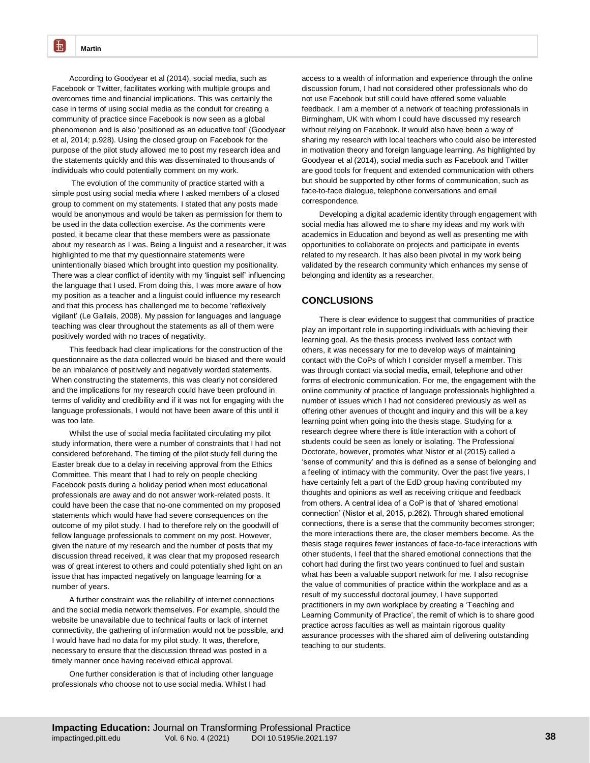転

According to Goodyear et al (2014), social media, such as Facebook or Twitter, facilitates working with multiple groups and overcomes time and financial implications. This was certainly the case in terms of using social media as the conduit for creating a community of practice since Facebook is now seen as a global phenomenon and is also 'positioned as an educative tool' (Goodyear et al, 2014; p.928). Using the closed group on Facebook for the purpose of the pilot study allowed me to post my research idea and the statements quickly and this was disseminated to thousands of individuals who could potentially comment on my work.

The evolution of the community of practice started with a simple post using social media where I asked members of a closed group to comment on my statements. I stated that any posts made would be anonymous and would be taken as permission for them to be used in the data collection exercise. As the comments were posted, it became clear that these members were as passionate about my research as I was. Being a linguist and a researcher, it was highlighted to me that my questionnaire statements were unintentionally biased which brought into question my positionality. There was a clear conflict of identity with my 'linguist self' influencing the language that I used. From doing this, I was more aware of how my position as a teacher and a linguist could influence my research and that this process has challenged me to become 'reflexively vigilant' (Le Gallais, 2008). My passion for languages and language teaching was clear throughout the statements as all of them were positively worded with no traces of negativity.

This feedback had clear implications for the construction of the questionnaire as the data collected would be biased and there would be an imbalance of positively and negatively worded statements. When constructing the statements, this was clearly not considered and the implications for my research could have been profound in terms of validity and credibility and if it was not for engaging with the language professionals, I would not have been aware of this until it was too late.

Whilst the use of social media facilitated circulating my pilot study information, there were a number of constraints that I had not considered beforehand. The timing of the pilot study fell during the Easter break due to a delay in receiving approval from the Ethics Committee. This meant that I had to rely on people checking Facebook posts during a holiday period when most educational professionals are away and do not answer work-related posts. It could have been the case that no-one commented on my proposed statements which would have had severe consequences on the outcome of my pilot study. I had to therefore rely on the goodwill of fellow language professionals to comment on my post. However, given the nature of my research and the number of posts that my discussion thread received, it was clear that my proposed research was of great interest to others and could potentially shed light on an issue that has impacted negatively on language learning for a number of years.

A further constraint was the reliability of internet connections and the social media network themselves. For example, should the website be unavailable due to technical faults or lack of internet connectivity, the gathering of information would not be possible, and I would have had no data for my pilot study. It was, therefore, necessary to ensure that the discussion thread was posted in a timely manner once having received ethical approval.

One further consideration is that of including other language professionals who choose not to use social media. Whilst I had

access to a wealth of information and experience through the online discussion forum, I had not considered other professionals who do not use Facebook but still could have offered some valuable feedback. I am a member of a network of teaching professionals in Birmingham, UK with whom I could have discussed my research without relying on Facebook. It would also have been a way of sharing my research with local teachers who could also be interested in motivation theory and foreign language learning. As highlighted by Goodyear et al (2014), social media such as Facebook and Twitter are good tools for frequent and extended communication with others but should be supported by other forms of communication, such as face-to-face dialogue, telephone conversations and email correspondence.

Developing a digital academic identity through engagement with social media has allowed me to share my ideas and my work with academics in Education and beyond as well as presenting me with opportunities to collaborate on projects and participate in events related to my research. It has also been pivotal in my work being validated by the research community which enhances my sense of belonging and identity as a researcher.

### **CONCLUSIONS**

There is clear evidence to suggest that communities of practice play an important role in supporting individuals with achieving their learning goal. As the thesis process involved less contact with others, it was necessary for me to develop ways of maintaining contact with the CoPs of which I consider myself a member. This was through contact via social media, email, telephone and other forms of electronic communication. For me, the engagement with the online community of practice of language professionals highlighted a number of issues which I had not considered previously as well as offering other avenues of thought and inquiry and this will be a key learning point when going into the thesis stage. Studying for a research degree where there is little interaction with a cohort of students could be seen as lonely or isolating. The Professional Doctorate, however, promotes what Nistor et al (2015) called a 'sense of community' and this is defined as a sense of belonging and a feeling of intimacy with the community. Over the past five years, I have certainly felt a part of the EdD group having contributed my thoughts and opinions as well as receiving critique and feedback from others. A central idea of a CoP is that of 'shared emotional connection' (Nistor et al, 2015, p.262). Through shared emotional connections, there is a sense that the community becomes stronger; the more interactions there are, the closer members become. As the thesis stage requires fewer instances of face-to-face interactions with other students, I feel that the shared emotional connections that the cohort had during the first two years continued to fuel and sustain what has been a valuable support network for me. I also recognise the value of communities of practice within the workplace and as a result of my successful doctoral journey, I have supported practitioners in my own workplace by creating a 'Teaching and Learning Community of Practice', the remit of which is to share good practice across faculties as well as maintain rigorous quality assurance processes with the shared aim of delivering outstanding teaching to our students.